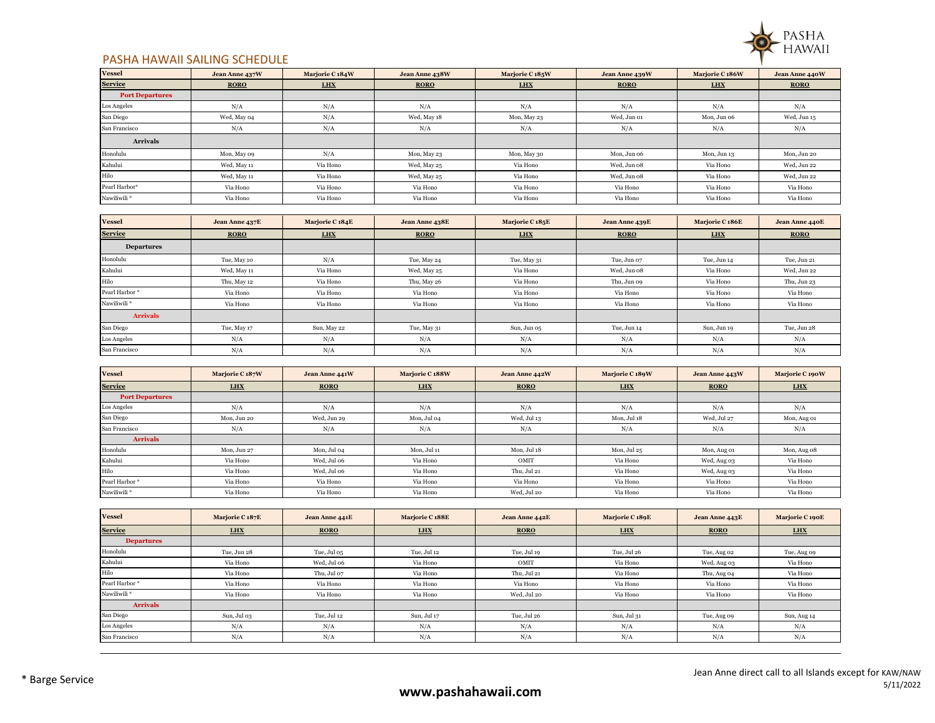

## PASHA HAWAII SAILING SCHEDULE

| <b>Vessel</b>          | Jean Anne 437W | Marjorie C <sub>184</sub> W | Jean Anne 438W | Marjorie C <sub>185</sub> W | Jean Anne 439W | Marjorie C <sub>186</sub> W | Jean Anne 440W |
|------------------------|----------------|-----------------------------|----------------|-----------------------------|----------------|-----------------------------|----------------|
| <b>Service</b>         | <b>RORO</b>    | <b>LHX</b>                  | <b>RORO</b>    | <b>LHX</b>                  | <b>RORO</b>    | <b>LHX</b>                  | <b>RORO</b>    |
| <b>Port Departures</b> |                |                             |                |                             |                |                             |                |
| Los Angeles            | N/A            | N/A                         | N/A            | N/A                         | N/A            | N/A                         | N/A            |
| San Diego              | Wed, May 04    | N/A                         | Wed, May 18    | Mon, May 23                 | Wed, Jun 01    | Mon, Jun 06                 | Wed, Jun 15    |
| San Francisco          | N/A            | N/A                         | N/A            | N/A                         | N/A            | N/A                         | N/A            |
| <b>Arrivals</b>        |                |                             |                |                             |                |                             |                |
| Honolulu               | Mon, May 09    | N/A                         | Mon, May 23    | Mon, May 30                 | Mon, Jun 06    | Mon, Jun 13                 | Mon, Jun 20    |
| Kahului                | Wed, May 11    | Via Hono                    | Wed, May 25    | Via Hono                    | Wed, Jun 08    | Via Hono                    | Wed, Jun 22    |
| Hilo                   | Wed, May 11    | Via Hono                    | Wed, May 25    | Via Hono                    | Wed, Jun 08    | Via Hono                    | Wed, Jun 22    |
| Pearl Harbor*          | Via Hono       | Via Hono                    | Via Hono       | Via Hono                    | Via Hono       | Via Hono                    | Via Hono       |
| Nawiliwili*            | Via Hono       | Via Hono                    | Via Hono       | Via Hono                    | Via Hono       | Via Hono                    | Via Hono       |

| <b>Vessel</b>     | Jean Anne 437E | Marjorie C 184E | <b>Jean Anne 438E</b> | Marjorie C 185E | Jean Anne 439E | Marjorie C 186E | Jean Anne 440E |
|-------------------|----------------|-----------------|-----------------------|-----------------|----------------|-----------------|----------------|
| <b>Service</b>    | <b>RORO</b>    | <b>LHX</b>      | <b>RORO</b>           | <b>LHX</b>      | <b>RORO</b>    | <b>LHX</b>      | <b>RORO</b>    |
| <b>Departures</b> |                |                 |                       |                 |                |                 |                |
| Honolulu          | Tue, May 10    | N/A             | Tue, May 24           | Tue, May 31     | Tue, Jun 07    | Tue, Jun 14     | Tue, Jun 21    |
| Kahului           | Wed, May 11    | Via Hono        | Wed, May 25           | Via Hono        | Wed, Jun 08    | Via Hono        | Wed, Jun 22    |
| Hilo              | Thu, May 12    | Via Hono        | Thu, May 26           | Via Hono        | Thu, Jun 09    | Via Hono        | Thu, Jun 23    |
| Pearl Harbor*     | Via Hono       | Via Hono        | Via Hono              | Via Hono        | Via Hono       | Via Hono        | Via Hono       |
| Nawiliwili*       | Via Hono       | Via Hono        | Via Hono              | Via Hono        | Via Hono       | Via Hono        | Via Hono       |
| <b>Arrivals</b>   |                |                 |                       |                 |                |                 |                |
| San Diego         | Tue, May 17    | Sun, May 22     | Tue, May 31           | Sun, Jun 05     | Tue, Jun 14    | Sun, Jun 19     | Tue, Jun 28    |
| Los Angeles       | N/A            | N/A             | N/A                   | N/A             | N/A            | N/A             | N/A            |
| San Francisco     | N/A            | N/A             | N/A                   | N/A             | N/A            | N/A             | N/A            |

| <b>Vessel</b>          | Mariorie C <sub>187</sub> W | Jean Anne 441W | <b>Mariorie C 188W</b> | Jean Anne 442W | Marjorie C 189W | Jean Anne 443W | Marjorie C 190W |
|------------------------|-----------------------------|----------------|------------------------|----------------|-----------------|----------------|-----------------|
| <b>Service</b>         | <b>LHX</b>                  | <b>RORO</b>    | <b>LHX</b>             | <b>RORO</b>    | <b>LHX</b>      | <b>RORO</b>    | LHX             |
| <b>Port Departures</b> |                             |                |                        |                |                 |                |                 |
| Los Angeles            | N/A                         | N/A            | N/A                    | N/A            | N/A             | N/A            | N/A             |
| San Diego              | Mon. Jun 20                 | Wed, Jun 29    | Mon, Jul 04            | Wed, Jul 13    | Mon, Jul 18     | Wed, Jul 27    | Mon, Aug 01     |
| San Francisco          | N/A                         | N/A            | N/A                    | N/A            | N/A             | N/A            | N/A             |
| <b>Arrivals</b>        |                             |                |                        |                |                 |                |                 |
| Honolulu               | Mon, Jun 27                 | Mon, Jul 04    | Mon, Jul 11            | Mon, Jul 18    | Mon, Jul 25     | Mon, Aug 01    | Mon, Aug 08     |
| Kahului                | Via Hono                    | Wed, Jul 06    | Via Hono               | OMIT           | Via Hono        | Wed, Aug 03    | Via Hono        |
| Hilo                   | Via Hono                    | Wed. Jul 06    | Via Hono               | Thu, Jul 21    | Via Hono        | Wed, Aug 03    | Via Hono        |
| Pearl Harbor*          | Via Hono                    | Via Hono       | Via Hono               | Via Hono       | Via Hono        | Via Hono       | Via Hono        |
| Nawiliwili*            | Via Hono                    | Via Hono       | Via Hono               | Wed, Jul 20    | Via Hono        | Via Hono       | Via Hono        |

| <b>Vessel</b>     | Marjorie C 187E | Jean Anne 441E | Marjorie C 188E | Jean Anne 442E | Marjorie C 189E | Jean Anne 443E | <b>Marjorie C 190E</b> |
|-------------------|-----------------|----------------|-----------------|----------------|-----------------|----------------|------------------------|
| <b>Service</b>    | <b>LHX</b>      | <b>RORO</b>    | <b>LHX</b>      | <b>RORO</b>    | <b>LHX</b>      | <b>RORO</b>    | LHX                    |
| <b>Departures</b> |                 |                |                 |                |                 |                |                        |
| Honolulu          | Tue, Jun 28     | Tue, Jul 05    | Tue, Jul 12     | Tue, Jul 19    | Tue, Jul 26     | Tue, Aug 02    | Tue, Aug 09            |
| Kahului           | Via Hono        | Wed. Jul 06    | Via Hono        | OMIT           | Via Hono        | Wed, Aug 03    | Via Hono               |
| Hilo              | Via Hono        | Thu, Jul 07    | Via Hono        | Thu, Jul 21    | Via Hono        | Thu, Aug 04    | Via Hono               |
| Pearl Harbor*     | Via Hono        | Via Hono       | Via Hono        | Via Hono       | Via Hono        | Via Hono       | Via Hono               |
| Nawiliwili*       | Via Hono        | Via Hono       | Via Hono        | Wed, Jul 20    | Via Hono        | Via Hono       | Via Hono               |
| <b>Arrivals</b>   |                 |                |                 |                |                 |                |                        |
| San Diego         | Sun, Jul 03     | Tue, Jul 12    | Sun, Jul 17     | Tue, Jul 26    | Sun, Jul 31     | Tue, Aug 09    | Sun, Aug 14            |
| Los Angeles       | N/A             | N/A            | N/A             | N/A            | N/A             | N/A            | N/A                    |
| San Francisco     | N/A             | N/A            | N/A             | N/A            | N/A             | N/A            | N/A                    |